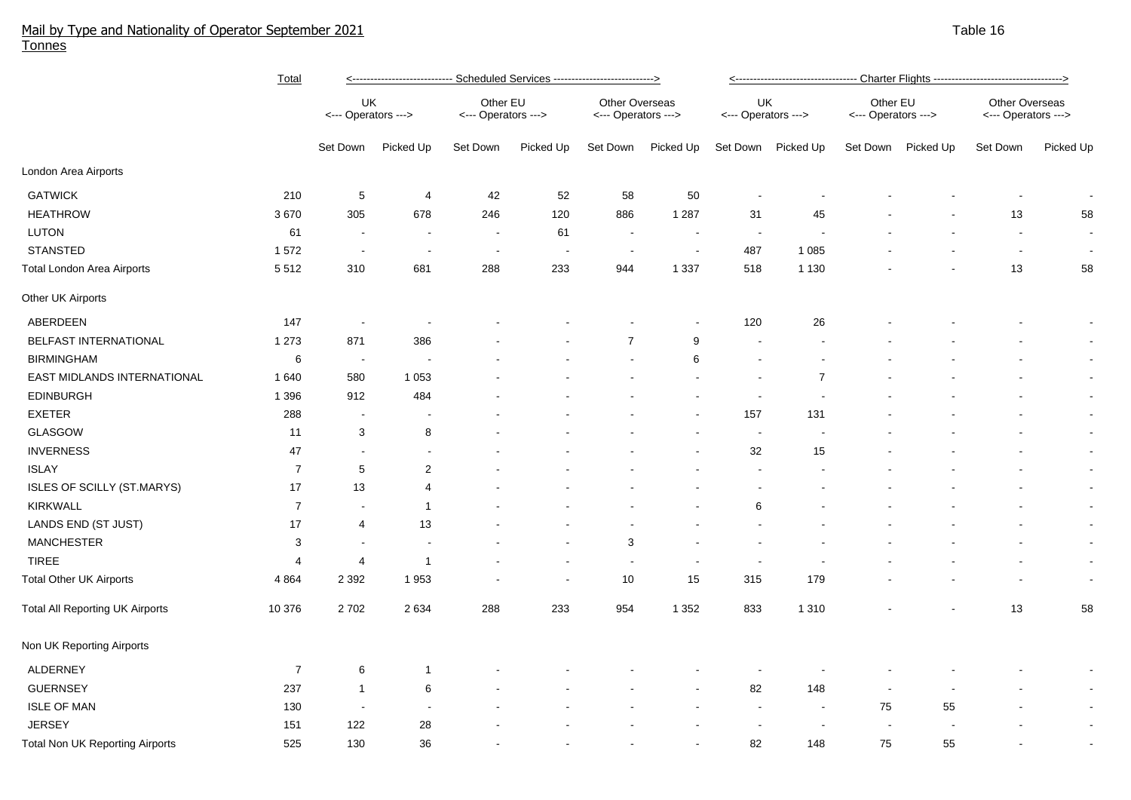## Mail by Type and Nationality of Operator September 2021 Table 16 and the state of the state of the state of the state 16 and the state 16 and the state 16 and the state 16 and the 16 and the state 16 and the state 16 and t Tonnes

|                                        | Total          | <---------------------------- Scheduled Services ---------------------------> |                          |                                 |                          |                                              |                |                           |                |                                 |                    |                                       |                |
|----------------------------------------|----------------|-------------------------------------------------------------------------------|--------------------------|---------------------------------|--------------------------|----------------------------------------------|----------------|---------------------------|----------------|---------------------------------|--------------------|---------------------------------------|----------------|
|                                        |                | UK<br><--- Operators --->                                                     |                          | Other EU<br><--- Operators ---> |                          | <b>Other Overseas</b><br><--- Operators ---> |                | UK<br><--- Operators ---> |                | Other EU<br><--- Operators ---> |                    | Other Overseas<br><--- Operators ---> |                |
|                                        |                | Set Down                                                                      | Picked Up                | Set Down                        | Picked Up                | Set Down                                     | Picked Up      | Set Down                  | Picked Up      |                                 | Set Down Picked Up | Set Down                              | Picked Up      |
| London Area Airports                   |                |                                                                               |                          |                                 |                          |                                              |                |                           |                |                                 |                    |                                       |                |
| <b>GATWICK</b>                         | 210            | 5                                                                             | $\overline{\mathbf{4}}$  | 42                              | 52                       | 58                                           | 50             |                           |                |                                 |                    |                                       | $\sim$         |
| <b>HEATHROW</b>                        | 3670           | 305                                                                           | 678                      | 246                             | 120                      | 886                                          | 1 2 8 7        | 31                        | 45             |                                 |                    | 13                                    | 58             |
| <b>LUTON</b>                           | 61             | $\sim$                                                                        | $\sim$                   | $\sim$                          | 61                       | $\sim$                                       | $\sim$         | $\sim$                    |                |                                 |                    | $\blacksquare$                        | $\sim$         |
| <b>STANSTED</b>                        | 1572           | $\sim$                                                                        | $\overline{\phantom{a}}$ | $\overline{\phantom{a}}$        | $\overline{\phantom{a}}$ | $\blacksquare$                               | $\blacksquare$ | 487                       | 1 0 8 5        |                                 |                    | $\blacksquare$                        | $\sim$         |
| <b>Total London Area Airports</b>      | 5512           | 310                                                                           | 681                      | 288                             | 233                      | 944                                          | 1 3 3 7        | 518                       | 1 1 3 0        |                                 |                    | 13                                    | 58             |
| Other UK Airports                      |                |                                                                               |                          |                                 |                          |                                              |                |                           |                |                                 |                    |                                       |                |
| ABERDEEN                               | 147            | $\sim$                                                                        |                          |                                 |                          |                                              |                | 120                       | 26             |                                 |                    |                                       | $\blacksquare$ |
| <b>BELFAST INTERNATIONAL</b>           | 1 2 7 3        | 871                                                                           | 386                      |                                 |                          | $\overline{7}$                               | 9              |                           |                |                                 |                    |                                       | $\sim$         |
| <b>BIRMINGHAM</b>                      | $\,6$          | $\alpha$                                                                      |                          |                                 |                          |                                              | 6              | $\blacksquare$            |                |                                 |                    |                                       | $\sim$         |
| EAST MIDLANDS INTERNATIONAL            | 1640           | 580                                                                           | 1 0 5 3                  |                                 |                          |                                              |                | $\blacksquare$            | $\overline{7}$ |                                 |                    |                                       | $\sim$         |
| <b>EDINBURGH</b>                       | 1 3 9 6        | 912                                                                           | 484                      |                                 |                          |                                              |                | $\overline{\phantom{a}}$  |                |                                 |                    |                                       | $\blacksquare$ |
| <b>EXETER</b>                          | 288            | $\overline{\phantom{a}}$                                                      |                          |                                 |                          |                                              |                | 157                       | 131            |                                 |                    |                                       | $\sim$         |
| <b>GLASGOW</b>                         | 11             | 3                                                                             | 8                        |                                 |                          |                                              |                | $\overline{\phantom{a}}$  |                |                                 |                    |                                       | $\sim$         |
| <b>INVERNESS</b>                       | 47             | $\overline{\phantom{a}}$                                                      | $\blacksquare$           |                                 |                          |                                              |                | 32                        | 15             |                                 |                    |                                       | $\sim$         |
| <b>ISLAY</b>                           | $\overline{7}$ | 5                                                                             | $\overline{2}$           |                                 |                          |                                              |                | $\blacksquare$            |                |                                 |                    |                                       | $\sim$         |
| ISLES OF SCILLY (ST.MARYS)             | 17             | 13                                                                            | $\overline{4}$           |                                 |                          |                                              |                | ÷                         |                |                                 |                    |                                       | $\sim$         |
| <b>KIRKWALL</b>                        | $\overline{7}$ | $\sim$                                                                        | $\mathbf{1}$             |                                 |                          |                                              |                | 6                         |                |                                 |                    |                                       | $\sim$         |
| LANDS END (ST JUST)                    | 17             | 4                                                                             | 13                       |                                 |                          |                                              |                |                           |                |                                 |                    |                                       | $\sim$         |
| <b>MANCHESTER</b>                      | 3              | $\sim$                                                                        | $\sim$                   |                                 |                          | 3                                            |                |                           |                |                                 |                    |                                       | $\sim$         |
| <b>TIREE</b>                           | 4              | 4                                                                             | $\mathbf{1}$             |                                 |                          | $\sim$                                       | $\sim$         | $\sim$                    |                |                                 |                    |                                       | $\sim$         |
| <b>Total Other UK Airports</b>         | 4 8 6 4        | 2 3 9 2                                                                       | 1953                     |                                 |                          | $10$                                         | 15             | 315                       | 179            |                                 |                    |                                       | $\sim$         |
| <b>Total All Reporting UK Airports</b> | 10 376         | 2702                                                                          | 2 6 3 4                  | 288                             | 233                      | 954                                          | 1 3 5 2        | 833                       | 1 3 1 0        |                                 |                    | 13                                    | 58             |
| Non UK Reporting Airports              |                |                                                                               |                          |                                 |                          |                                              |                |                           |                |                                 |                    |                                       |                |
| <b>ALDERNEY</b>                        | $\overline{7}$ | 6                                                                             | $\mathbf{1}$             |                                 |                          |                                              |                |                           |                |                                 |                    |                                       | $\sim$         |
| <b>GUERNSEY</b>                        | 237            | $\mathbf{1}$                                                                  | 6                        |                                 |                          |                                              |                | 82                        | 148            |                                 |                    |                                       | $\sim$         |
| <b>ISLE OF MAN</b>                     | 130            | $\sim$                                                                        |                          |                                 |                          |                                              |                | $\sim$                    | з.             | 75                              | 55                 |                                       | $\sim$         |
| <b>JERSEY</b>                          | 151            | 122                                                                           | 28                       |                                 |                          |                                              |                |                           |                |                                 |                    |                                       | $\blacksquare$ |
| <b>Total Non UK Reporting Airports</b> | 525            | 130                                                                           | 36                       |                                 |                          |                                              |                | 82                        | 148            | 75                              | 55                 |                                       |                |